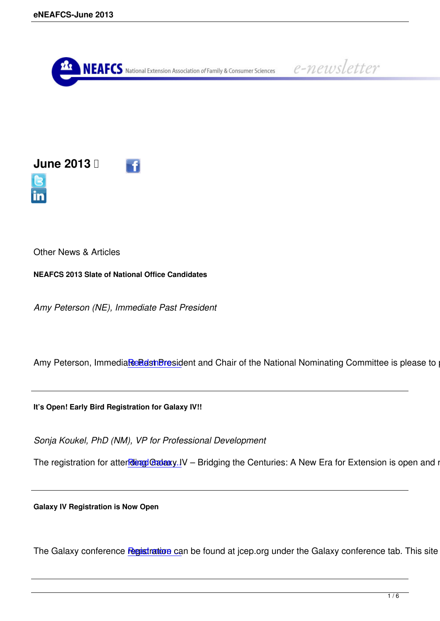



Other News & Articles

**NEAFCS 2013 Slate of National Office Candidates**

*Amy Peterson (NE), Immediate Past President*

Amy Peterson, Immediare Past President and Chair of the National Nominating Committee is please to pre

**It's Open! Early Bird Regis[tration for Galax](/eneafcs-june-article-1)y IV!!**

*Sonja Koukel, PhD (NM), VP for Professional Development*

The registration for atter *diang Gadaxy* IV – Bridging the Centuries: A New Era for Extension is open and read

**Galaxy IV Registration is N[ow Open](/eneafcs-june-article-2)**

The Galaxy conference registration can be found at jcep.org under the Galaxy conference tab. This site contains details and allows  $\epsilon$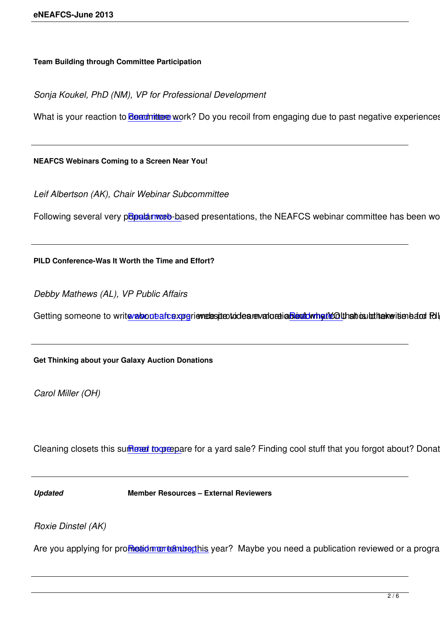*Sonja Koukel, PhD (NM), VP for Professional Development*

What is your reaction to **Renumitee work**? Do you recoil from engaging due to past negative experiences? I

**NEAFCS Webinars Comin[g to a Screen Ne](/eneafcs-june-article-4)ar You!**

*Leif Albertson (AK), Chair Webinar Subcommittee*

Following several very popular web-based presentations, the NEAFCS webinar committee has been working

**PILD Conference-Was It W[orth the Time an](/eneafcs-june-article-5)d Effort?**

*Debby Mathews (AL), VP Public Affairs*

Getting someone to write relocate aftexperiemetes ite to deare valoration betwing the old halt of the kerisen bare follows

**Get Thinking about your G[alaxy Auction Don](http://www.neafcs.org)ations**

*Carol Miller (OH)*

Cleaning closets this sum ext to organ to a yard sale? Finding cool stuff that you forgot about? Donate of

*Updated* **[Member Resour](/eneafcs-june-article-7)ces – External Reviewers**

*Roxie Dinstel (AK)*

Are you applying for promotion or establishing year? Maybe you need a publication reviewed or a program r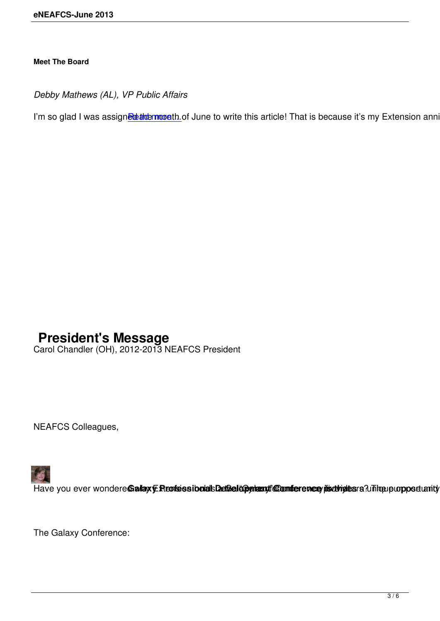*Debby Mathews (AL), VP Public Affairs*

I'm so glad I was assigne when month of June to write this article! That is because it's my Extension anniver

## **President's Message**

Carol Chandler (OH), 2012-2013 NEAFCS President

NEAFCS Colleagues,



Have you ever wondere Gallay E Reofessibolals DetGelepphenut Comference jis drigtes a Unique purpose unity poi

The Galaxy Conference: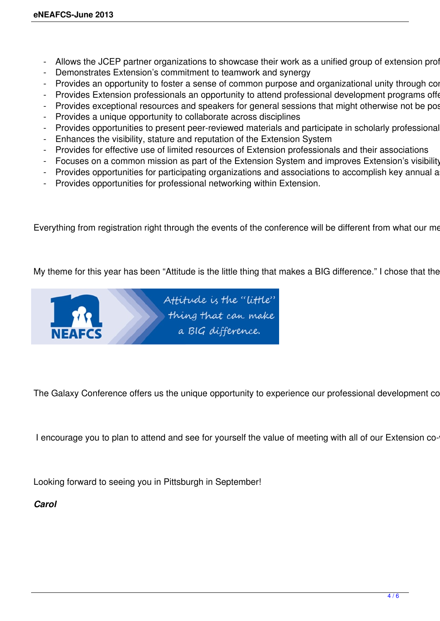- Allows the JCEP partner organizations to showcase their work as a unified group of extension prof
- Demonstrates Extension's commitment to teamwork and synergy
- Provides an opportunity to foster a sense of common purpose and organizational unity through con
- Provides Extension professionals an opportunity to attend professional development programs offer
- Provides exceptional resources and speakers for general sessions that might otherwise not be pos
- Provides a unique opportunity to collaborate across disciplines
- Provides opportunities to present peer-reviewed materials and participate in scholarly professional
- Enhances the visibility, stature and reputation of the Extension System
- Provides for effective use of limited resources of Extension professionals and their associations
- Focuses on a common mission as part of the Extension System and improves Extension's visibility
- Provides opportunities for participating organizations and associations to accomplish key annual a
- Provides opportunities for professional networking within Extension.

Everything from registration right through the events of the conference will be different from what our me

My theme for this year has been "Attitude is the little thing that makes a BIG difference." I chose that the



The Galaxy Conference offers us the unique opportunity to experience our professional development co

I encourage you to plan to attend and see for yourself the value of meeting with all of our Extension co-

Looking forward to seeing you in Pittsburgh in September!

*Carol*